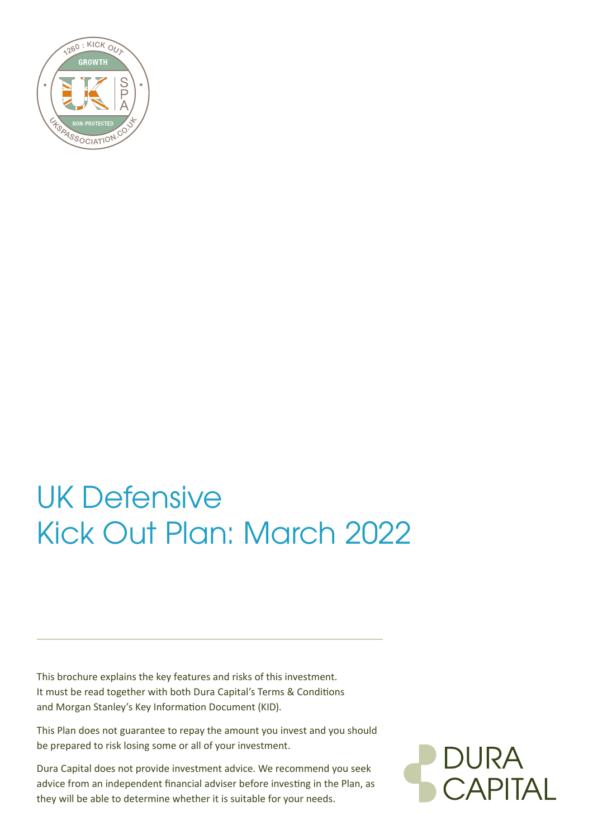

# UK Defensive Kick Out Plan: March 2022

This brochure explains the key features and risks of this investment. It must be read together with both Dura Capital's Terms & Conditions and Morgan Stanley's Key Information Document (KID).

This Plan does not guarantee to repay the amount you invest and you should be prepared to risk losing some or all of your investment.

Dura Capital does not provide investment advice. We recommend you seek advice from an independent financial adviser before investing in the Plan, as they will be able to determine whether it is suitable for your needs.

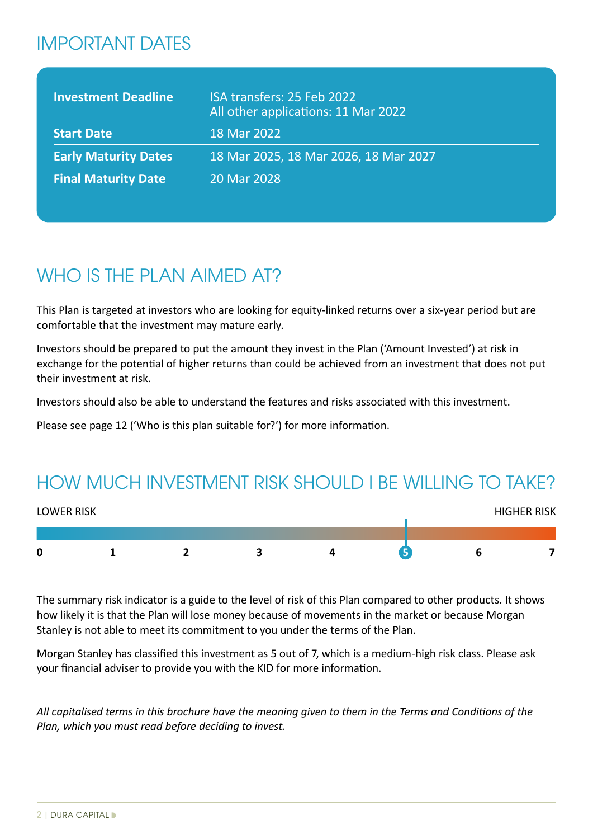# IMPORTANT DATES

| <b>Investment Deadline</b>  | ISA transfers: 25 Feb 2022<br>All other applications: 11 Mar 2022 |
|-----------------------------|-------------------------------------------------------------------|
| <b>Start Date</b>           | 18 Mar 2022                                                       |
| <b>Early Maturity Dates</b> | 18 Mar 2025, 18 Mar 2026, 18 Mar 2027                             |
| <b>Final Maturity Date</b>  | 20 Mar 2028                                                       |

# WHO IS THE PLAN AIMED AT?

This Plan is targeted at investors who are looking for equity-linked returns over a six-year period but are comfortable that the investment may mature early.

Investors should be prepared to put the amount they invest in the Plan ('Amount Invested') at risk in exchange for the potential of higher returns than could be achieved from an investment that does not put their investment at risk.

Investors should also be able to understand the features and risks associated with this investment.

Please see page 12 ('Who is this plan suitable for?') for more information.

# HOW MUCH INVESTMENT RISK SHOULD I BE WILLING TO TAKE?



The summary risk indicator is a guide to the level of risk of this Plan compared to other products. It shows how likely it is that the Plan will lose money because of movements in the market or because Morgan Stanley is not able to meet its commitment to you under the terms of the Plan.

Morgan Stanley has classified this investment as 5 out of 7, which is a medium-high risk class. Please ask your financial adviser to provide you with the KID for more information.

*All capitalised terms in this brochure have the meaning given to them in the Terms and Conditions of the Plan, which you must read before deciding to invest.*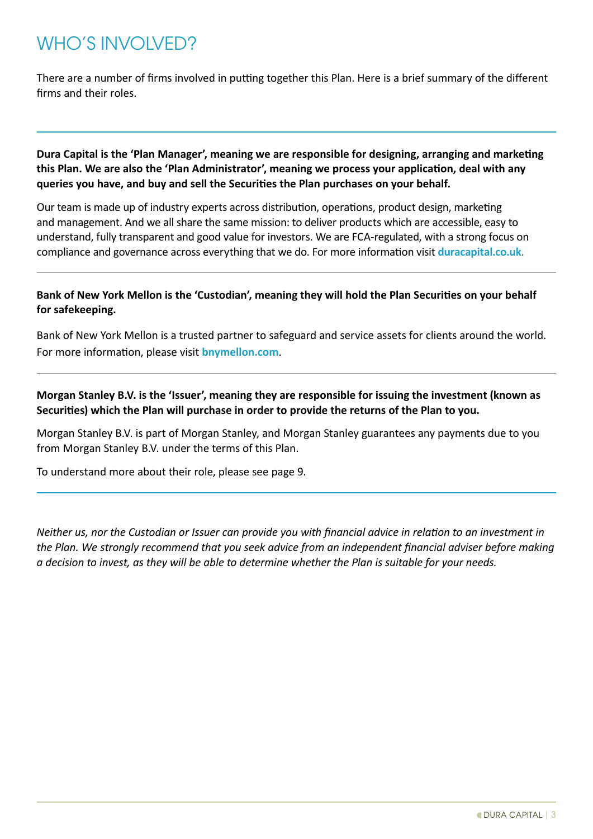# WHO'S INVOLVED?

There are a number of firms involved in putting together this Plan. Here is a brief summary of the different firms and their roles.

**Dura Capital is the 'Plan Manager', meaning we are responsible for designing, arranging and marketing this Plan. We are also the 'Plan Administrator', meaning we process your application, deal with any queries you have, and buy and sell the Securities the Plan purchases on your behalf.**

Our team is made up of industry experts across distribution, operations, product design, marketing and management. And we all share the same mission: to deliver products which are accessible, easy to understand, fully transparent and good value for investors. We are FCA-regulated, with a strong focus on compliance and governance across everything that we do. For more information visit **[duracapital.co.uk](http://www.duracapital.co.uk)**.

# **Bank of New York Mellon is the 'Custodian', meaning they will hold the Plan Securities on your behalf for safekeeping.**

Bank of New York Mellon is a trusted partner to safeguard and service assets for clients around the world. For more information, please visit **[bnymellon.com](http://www.bnymellon.com)**.

**Morgan Stanley B.V. is the 'Issuer', meaning they are responsible for issuing the investment (known as Securities) which the Plan will purchase in order to provide the returns of the Plan to you.** 

Morgan Stanley B.V. is part of Morgan Stanley, and Morgan Stanley guarantees any payments due to you from Morgan Stanley B.V. under the terms of this Plan.

To understand more about their role, please see page 9.

*Neither us, nor the Custodian or Issuer can provide you with financial advice in relation to an investment in the Plan. We strongly recommend that you seek advice from an independent financial adviser before making a decision to invest, as they will be able to determine whether the Plan is suitable for your needs.*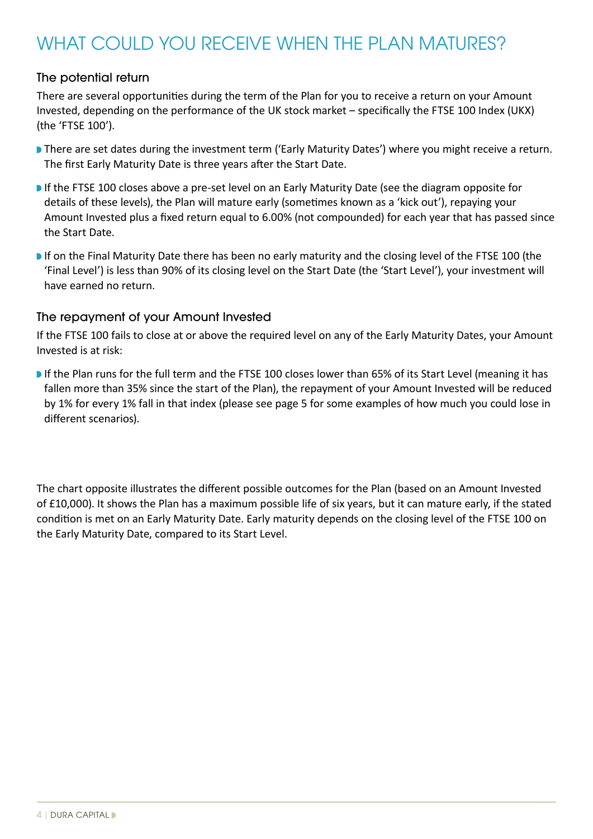# WHAT COULD YOU RECEIVE WHEN THE PLAN MATURES?

# The potential return

There are several opportunities during the term of the Plan for you to receive a return on your Amount Invested, depending on the performance of the UK stock market – specifically the FTSE 100 Index (UKX) (the 'FTSE 100').

- **There are set dates during the investment term ('Early Maturity Dates') where you might receive a return.** The first Early Maturity Date is three years after the Start Date.
- **If the FTSE 100 closes above a pre-set level on an Early Maturity Date (see the diagram opposite for** details of these levels), the Plan will mature early (sometimes known as a 'kick out'), repaying your Amount Invested plus a fixed return equal to 6.00% (not compounded) for each year that has passed since the Start Date.
- If on the Final Maturity Date there has been no early maturity and the closing level of the FTSE 100 (the 'Final Level') is less than 90% of its closing level on the Start Date (the 'Start Level'), your investment will have earned no return.

# The repayment of your Amount Invested

If the FTSE 100 fails to close at or above the required level on any of the Early Maturity Dates, your Amount Invested is at risk:

If the Plan runs for the full term and the FTSE 100 closes lower than 65% of its Start Level (meaning it has fallen more than 35% since the start of the Plan), the repayment of your Amount Invested will be reduced by 1% for every 1% fall in that index (please see page 5 for some examples of how much you could lose in different scenarios).

The chart opposite illustrates the different possible outcomes for the Plan (based on an Amount Invested of £10,000). It shows the Plan has a maximum possible life of six years, but it can mature early, if the stated condition is met on an Early Maturity Date. Early maturity depends on the closing level of the FTSE 100 on the Early Maturity Date, compared to its Start Level.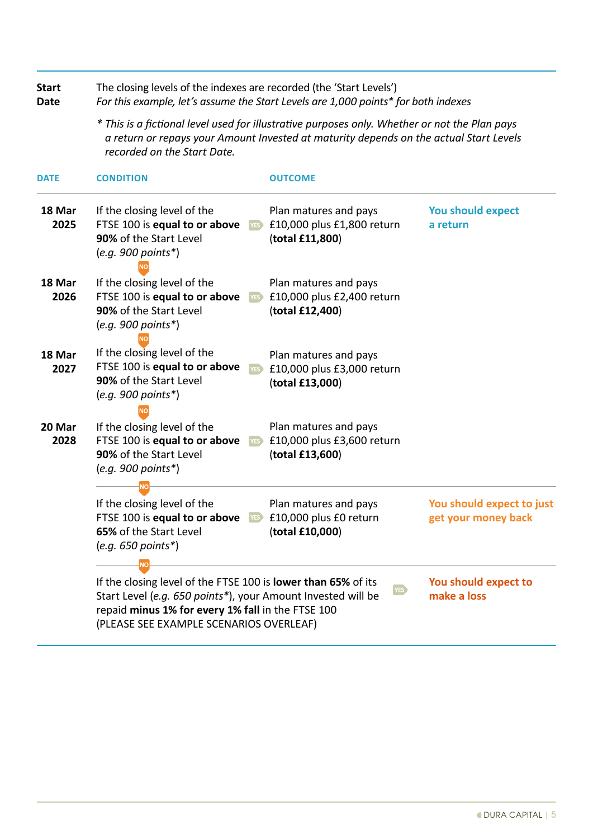| <b>Start</b><br><b>Date</b> | The closing levels of the indexes are recorded (the 'Start Levels')<br>For this example, let's assume the Start Levels are 1,000 points* for both indexes                                                                                         |                     |                                                                        |                                                  |  |  |  |  |
|-----------------------------|---------------------------------------------------------------------------------------------------------------------------------------------------------------------------------------------------------------------------------------------------|---------------------|------------------------------------------------------------------------|--------------------------------------------------|--|--|--|--|
|                             | * This is a fictional level used for illustrative purposes only. Whether or not the Plan pays<br>a return or repays your Amount Invested at maturity depends on the actual Start Levels<br>recorded on the Start Date.                            |                     |                                                                        |                                                  |  |  |  |  |
| <b>DATE</b>                 | <b>CONDITION</b>                                                                                                                                                                                                                                  |                     | <b>OUTCOME</b>                                                         |                                                  |  |  |  |  |
| 18 Mar<br>2025              | If the closing level of the<br>FTSE 100 is equal to or above<br>90% of the Start Level<br>$(e.g. 900 points*)$                                                                                                                                    | YES <sup></sup>     | Plan matures and pays<br>£10,000 plus £1,800 return<br>(total £11,800) | <b>You should expect</b><br>a return             |  |  |  |  |
| 18 Mar<br>2026              | If the closing level of the<br>FTSE 100 is equal to or above<br>90% of the Start Level<br>$(e.q. 900 points*)$                                                                                                                                    | YES <sup>&gt;</sup> | Plan matures and pays<br>£10,000 plus £2,400 return<br>(total £12,400) |                                                  |  |  |  |  |
| 18 Mar<br>2027              | If the closing level of the<br>FTSE 100 is equal to or above<br>90% of the Start Level<br>$(e.g. 900 points*)$                                                                                                                                    | YES <sup>)</sup>    | Plan matures and pays<br>£10,000 plus £3,000 return<br>(total £13,000) |                                                  |  |  |  |  |
| 20 Mar<br>2028              | If the closing level of the<br>FTSE 100 is equal to or above<br>90% of the Start Level<br>$(e.g. 900 points*)$                                                                                                                                    | YES                 | Plan matures and pays<br>£10,000 plus £3,600 return<br>(total £13,600) |                                                  |  |  |  |  |
|                             | If the closing level of the<br>FTSE 100 is equal to or above<br>65% of the Start Level<br>$(e.g. 650 points*)$                                                                                                                                    | YES J               | Plan matures and pays<br>£10,000 plus £0 return<br>(total £10,000)     | You should expect to just<br>get your money back |  |  |  |  |
|                             | <b>NO</b><br>If the closing level of the FTSE 100 is <b>lower than 65%</b> of its<br>Start Level (e.g. 650 points*), your Amount Invested will be<br>repaid minus 1% for every 1% fall in the FTSE 100<br>(PLEASE SEE EXAMPLE SCENARIOS OVERLEAF) |                     | YES)                                                                   | You should expect to<br>make a loss              |  |  |  |  |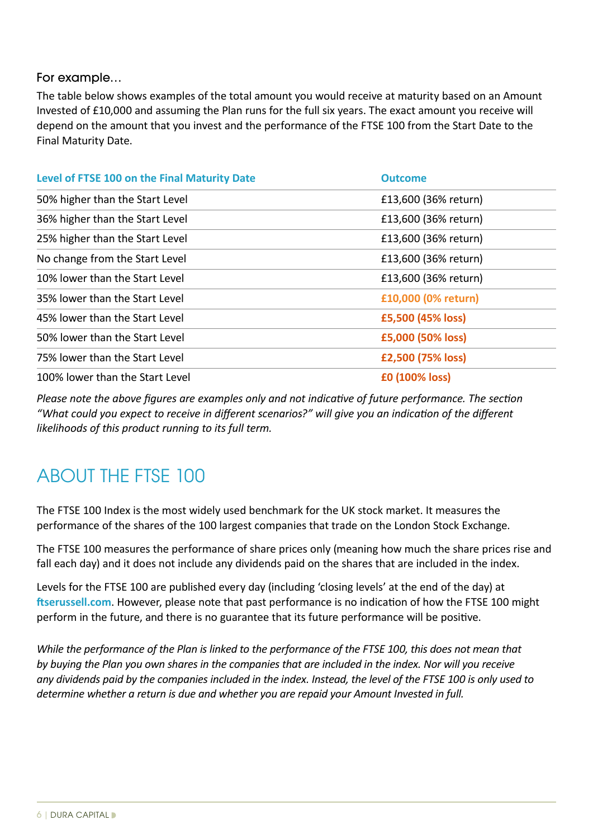# For example…

The table below shows examples of the total amount you would receive at maturity based on an Amount Invested of £10,000 and assuming the Plan runs for the full six years. The exact amount you receive will depend on the amount that you invest and the performance of the FTSE 100 from the Start Date to the Final Maturity Date.

| Level of FTSE 100 on the Final Maturity Date | <b>Outcome</b>       |
|----------------------------------------------|----------------------|
| 50% higher than the Start Level              | £13,600 (36% return) |
| 36% higher than the Start Level              | £13,600 (36% return) |
| 25% higher than the Start Level              | £13,600 (36% return) |
| No change from the Start Level               | £13,600 (36% return) |
| 10% lower than the Start Level               | £13,600 (36% return) |
| 35% lower than the Start Level               | £10,000 (0% return)  |
| 45% lower than the Start Level               | £5,500 (45% loss)    |
| 50% lower than the Start Level               | £5,000 (50% loss)    |
| 75% lower than the Start Level               | £2,500 (75% loss)    |
| 100% lower than the Start Level              | £0 (100% loss)       |

*Please note the above figures are examples only and not indicative of future performance. The section "What could you expect to receive in different scenarios?" will give you an indication of the different likelihoods of this product running to its full term.*

# ABOUT THE FTSE 100

The FTSE 100 Index is the most widely used benchmark for the UK stock market. It measures the performance of the shares of the 100 largest companies that trade on the London Stock Exchange.

The FTSE 100 measures the performance of share prices only (meaning how much the share prices rise and fall each day) and it does not include any dividends paid on the shares that are included in the index.

Levels for the FTSE 100 are published every day (including 'closing levels' at the end of the day) at **[ftserussell.com](http://ftserussell.com)**. However, please note that past performance is no indication of how the FTSE 100 might perform in the future, and there is no guarantee that its future performance will be positive.

*While the performance of the Plan is linked to the performance of the FTSE 100, this does not mean that by buying the Plan you own shares in the companies that are included in the index. Nor will you receive any dividends paid by the companies included in the index. Instead, the level of the FTSE 100 is only used to determine whether a return is due and whether you are repaid your Amount Invested in full.*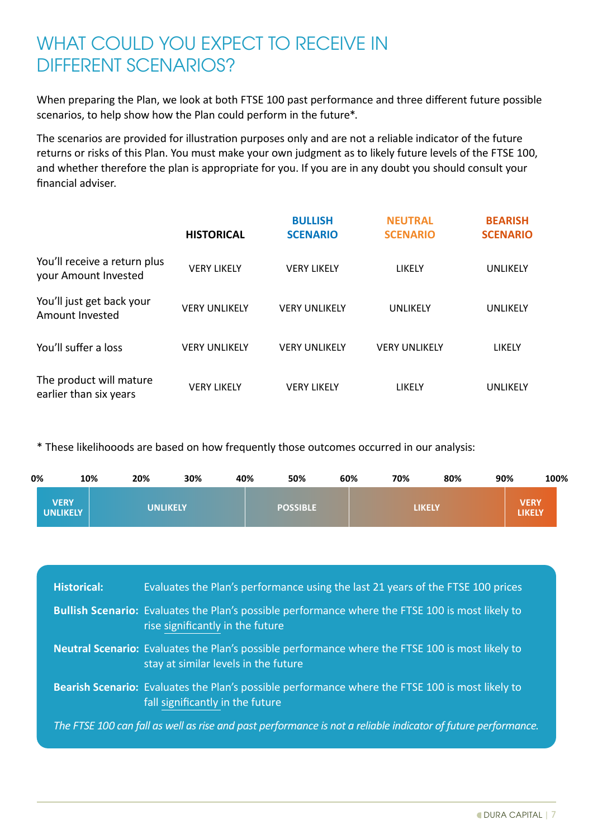# WHAT COULD YOU EXPECT TO RECEIVE IN DIFFERENT SCENARIOS?

When preparing the Plan, we look at both FTSE 100 past performance and three different future possible scenarios, to help show how the Plan could perform in the future\*.

The scenarios are provided for illustration purposes only and are not a reliable indicator of the future returns or risks of this Plan. You must make your own judgment as to likely future levels of the FTSE 100, and whether therefore the plan is appropriate for you. If you are in any doubt you should consult your financial adviser.

|                                                      | <b>HISTORICAL</b>    | <b>BULLISH</b><br><b>SCENARIO</b> | <b>NEUTRAL</b><br><b>SCENARIO</b> | <b>BEARISH</b><br><b>SCENARIO</b> |
|------------------------------------------------------|----------------------|-----------------------------------|-----------------------------------|-----------------------------------|
| You'll receive a return plus<br>your Amount Invested | <b>VERY LIKELY</b>   | <b>VERY LIKELY</b>                | LIKELY                            | UNLIKELY                          |
| You'll just get back your<br>Amount Invested         | <b>VERY UNLIKELY</b> | <b>VERY UNLIKELY</b>              | UNLIKELY                          | UNLIKELY                          |
| You'll suffer a loss                                 | <b>VERY UNLIKELY</b> | <b>VERY UNLIKELY</b>              | <b>VERY UNLIKELY</b>              | LIKELY                            |
| The product will mature<br>earlier than six years    | <b>VERY LIKELY</b>   | <b>VERY LIKELY</b>                | LIKELY                            | UNLIKELY                          |

\* These likelihooods are based on how frequently those outcomes occurred in our analysis:

| 0% | 10%                            | 20%             | 30%<br>40% | 50%             | 60% | 70% | 80%           | 90% | 100%                         |
|----|--------------------------------|-----------------|------------|-----------------|-----|-----|---------------|-----|------------------------------|
|    | <b>VERY</b><br><b>UNLIKELY</b> | <b>UNLIKELY</b> |            | <b>POSSIBLE</b> |     |     | <b>LIKELY</b> |     | <b>VERY</b><br><b>LIKELY</b> |

| <b>Historical:</b> | Evaluates the Plan's performance using the last 21 years of the FTSE 100 prices                                                                 |
|--------------------|-------------------------------------------------------------------------------------------------------------------------------------------------|
|                    | <b>Bullish Scenario:</b> Evaluates the Plan's possible performance where the FTSE 100 is most likely to<br>rise significantly in the future     |
|                    | <b>Neutral Scenario:</b> Evaluates the Plan's possible performance where the FTSE 100 is most likely to<br>stay at similar levels in the future |
|                    | Bearish Scenario: Evaluates the Plan's possible performance where the FTSE 100 is most likely to<br>fall significantly in the future            |
|                    | The FTSE 100 can fall as well as rise and past performance is not a reliable indicator of future performance.                                   |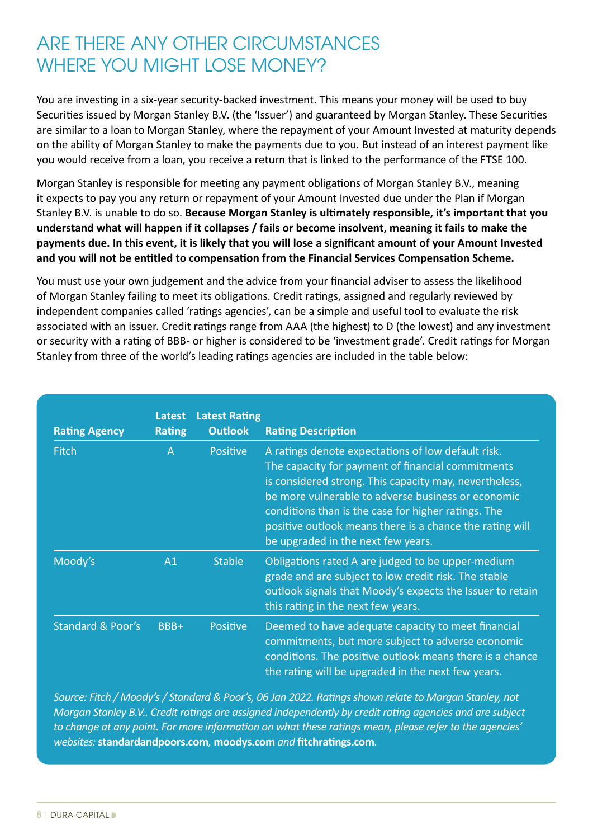# ARE THERE ANY OTHER CIRCUMSTANCES WHERE YOU MIGHT LOSE MONEY?

You are investing in a six-year security-backed investment. This means your money will be used to buy Securities issued by Morgan Stanley B.V. (the 'Issuer') and guaranteed by Morgan Stanley. These Securities are similar to a loan to Morgan Stanley, where the repayment of your Amount Invested at maturity depends on the ability of Morgan Stanley to make the payments due to you. But instead of an interest payment like you would receive from a loan, you receive a return that is linked to the performance of the FTSE 100.

Morgan Stanley is responsible for meeting any payment obligations of Morgan Stanley B.V., meaning it expects to pay you any return or repayment of your Amount Invested due under the Plan if Morgan Stanley B.V. is unable to do so. **Because Morgan Stanley is ultimately responsible, it's important that you understand what will happen if it collapses / fails or become insolvent, meaning it fails to make the payments due. In this event, it is likely that you will lose a significant amount of your Amount Invested and you will not be entitled to compensation from the Financial Services Compensation Scheme.**

You must use your own judgement and the advice from your financial adviser to assess the likelihood of Morgan Stanley failing to meet its obligations. Credit ratings, assigned and regularly reviewed by independent companies called 'ratings agencies', can be a simple and useful tool to evaluate the risk associated with an issuer. Credit ratings range from AAA (the highest) to D (the lowest) and any investment or security with a rating of BBB- or higher is considered to be 'investment grade'. Credit ratings for Morgan Stanley from three of the world's leading ratings agencies are included in the table below:

| <b>Rating Agency</b>         | Latest<br><b>Rating</b> | <b>Latest Rating</b><br><b>Outlook</b> | <b>Rating Description</b>                                                                                                                                                                                                                                                                                                                                                        |
|------------------------------|-------------------------|----------------------------------------|----------------------------------------------------------------------------------------------------------------------------------------------------------------------------------------------------------------------------------------------------------------------------------------------------------------------------------------------------------------------------------|
| <b>Fitch</b>                 | $\overline{A}$          | <b>Positive</b>                        | A ratings denote expectations of low default risk.<br>The capacity for payment of financial commitments<br>is considered strong. This capacity may, nevertheless,<br>be more vulnerable to adverse business or economic<br>conditions than is the case for higher ratings. The<br>positive outlook means there is a chance the rating will<br>be upgraded in the next few years. |
| Moody's                      | A1                      | <b>Stable</b>                          | Obligations rated A are judged to be upper-medium<br>grade and are subject to low credit risk. The stable<br>outlook signals that Moody's expects the Issuer to retain<br>this rating in the next few years.                                                                                                                                                                     |
| <b>Standard &amp; Poor's</b> | BBB+                    | Positive                               | Deemed to have adequate capacity to meet financial<br>commitments, but more subject to adverse economic<br>conditions. The positive outlook means there is a chance<br>the rating will be upgraded in the next few years.                                                                                                                                                        |

*Source: Fitch / Moody's / Standard & Poor's, 06 Jan 2022. Ratings shown relate to Morgan Stanley, not Morgan Stanley B.V.. Credit ratings are assigned independently by credit rating agencies and are subject to change at any point. For more information on what these ratings mean, please refer to the agencies' websites:* **[standardandpoors.com](http://www.standardandpoors.com)***,* **[moodys.com](http://www.moodys.com)** *and* **[fitchratings.com](http://www.fitchratings.com)***.*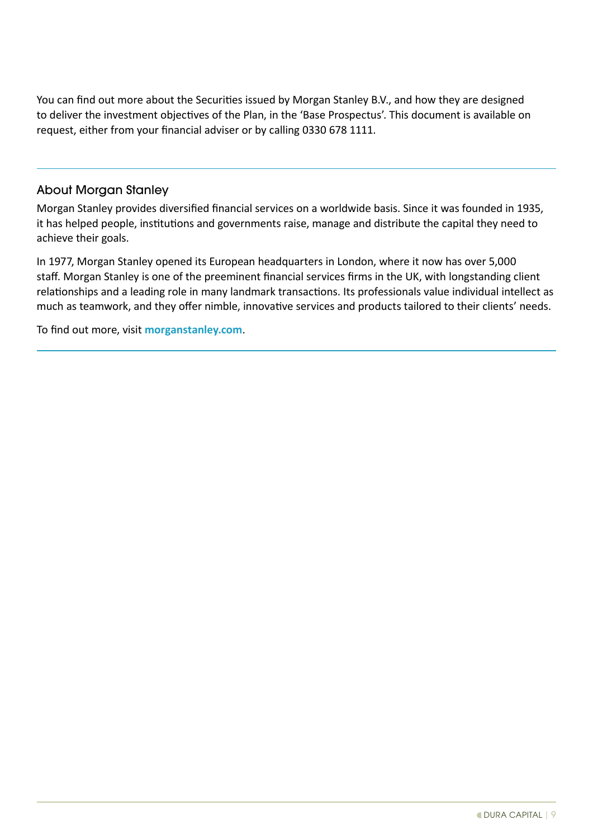You can find out more about the Securities issued by Morgan Stanley B.V., and how they are designed to deliver the investment objectives of the Plan, in the 'Base Prospectus'. This document is available on request, either from your financial adviser or by calling 0330 678 1111.

# About Morgan Stanley

Morgan Stanley provides diversified financial services on a worldwide basis. Since it was founded in 1935, it has helped people, institutions and governments raise, manage and distribute the capital they need to achieve their goals.

In 1977, Morgan Stanley opened its European headquarters in London, where it now has over 5,000 staff. Morgan Stanley is one of the preeminent financial services firms in the UK, with longstanding client relationships and a leading role in many landmark transactions. Its professionals value individual intellect as much as teamwork, and they offer nimble, innovative services and products tailored to their clients' needs.

To find out more, visit **[morganstanley.com](http://morganstanley.com)**.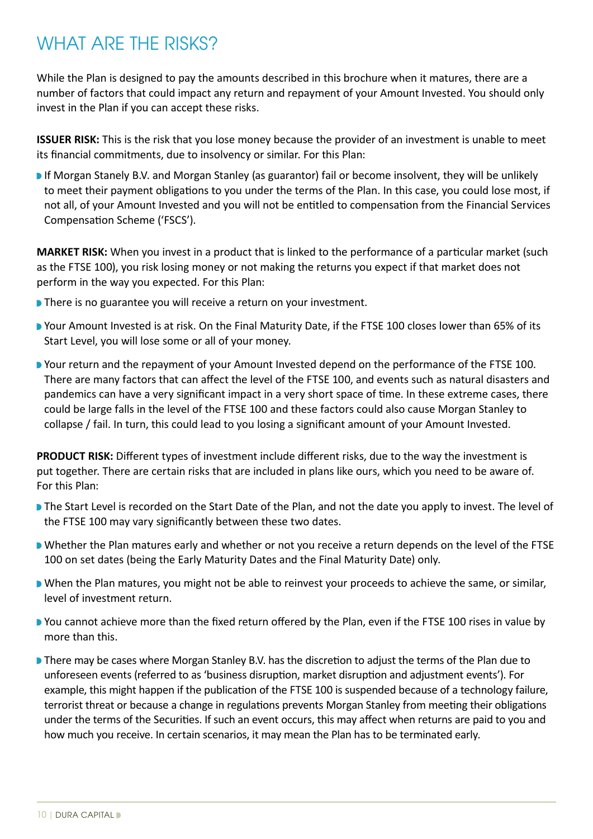# WHAT ARE THE RISKS?

While the Plan is designed to pay the amounts described in this brochure when it matures, there are a number of factors that could impact any return and repayment of your Amount Invested. You should only invest in the Plan if you can accept these risks.

**ISSUER RISK:** This is the risk that you lose money because the provider of an investment is unable to meet its financial commitments, due to insolvency or similar. For this Plan:

**If Morgan Stanely B.V. and Morgan Stanley (as guarantor) fail or become insolvent, they will be unlikely** to meet their payment obligations to you under the terms of the Plan. In this case, you could lose most, if not all, of your Amount Invested and you will not be entitled to compensation from the Financial Services Compensation Scheme ('FSCS').

**MARKET RISK:** When you invest in a product that is linked to the performance of a particular market (such as the FTSE 100), you risk losing money or not making the returns you expect if that market does not perform in the way you expected. For this Plan:

- **There is no guarantee you will receive a return on your investment.**
- Your Amount Invested is at risk. On the Final Maturity Date, if the FTSE 100 closes lower than 65% of its Start Level, you will lose some or all of your money.
- Your return and the repayment of your Amount Invested depend on the performance of the FTSE 100. There are many factors that can affect the level of the FTSE 100, and events such as natural disasters and pandemics can have a very significant impact in a very short space of time. In these extreme cases, there could be large falls in the level of the FTSE 100 and these factors could also cause Morgan Stanley to collapse / fail. In turn, this could lead to you losing a significant amount of your Amount Invested.

**PRODUCT RISK:** Different types of investment include different risks, due to the way the investment is put together. There are certain risks that are included in plans like ours, which you need to be aware of. For this Plan:

- The Start Level is recorded on the Start Date of the Plan, and not the date you apply to invest. The level of the FTSE 100 may vary significantly between these two dates.
- **N** Whether the Plan matures early and whether or not you receive a return depends on the level of the FTSE 100 on set dates (being the Early Maturity Dates and the Final Maturity Date) only.
- **N** When the Plan matures, you might not be able to reinvest your proceeds to achieve the same, or similar, level of investment return.
- You cannot achieve more than the fixed return offered by the Plan, even if the FTSE 100 rises in value by more than this.
- **D** There may be cases where Morgan Stanley B.V. has the discretion to adjust the terms of the Plan due to unforeseen events (referred to as 'business disruption, market disruption and adjustment events'). For example, this might happen if the publication of the FTSE 100 is suspended because of a technology failure, terrorist threat or because a change in regulations prevents Morgan Stanley from meeting their obligations under the terms of the Securities. If such an event occurs, this may affect when returns are paid to you and how much you receive. In certain scenarios, it may mean the Plan has to be terminated early.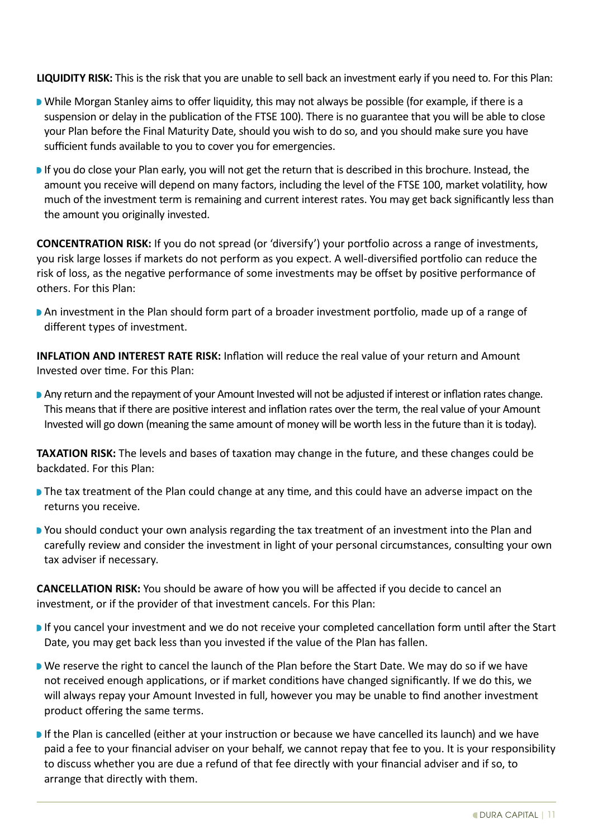**LIQUIDITY RISK:** This is the risk that you are unable to sell back an investment early if you need to. For this Plan:

- While Morgan Stanley aims to offer liquidity, this may not always be possible (for example, if there is a suspension or delay in the publication of the FTSE 100). There is no guarantee that you will be able to close your Plan before the Final Maturity Date, should you wish to do so, and you should make sure you have sufficient funds available to you to cover you for emergencies.
- If you do close your Plan early, you will not get the return that is described in this brochure. Instead, the amount you receive will depend on many factors, including the level of the FTSE 100, market volatility, how much of the investment term is remaining and current interest rates. You may get back significantly less than the amount you originally invested.

**CONCENTRATION RISK:** If you do not spread (or 'diversify') your portfolio across a range of investments, you risk large losses if markets do not perform as you expect. A well-diversified portfolio can reduce the risk of loss, as the negative performance of some investments may be offset by positive performance of others. For this Plan:

**An investment in the Plan should form part of a broader investment portfolio, made up of a range of** different types of investment.

**INFLATION AND INTEREST RATE RISK:** Inflation will reduce the real value of your return and Amount Invested over time. For this Plan:

Any return and the repayment of your Amount Invested will not be adjusted if interest or inflation rates change. This means that if there are positive interest and inflation rates over the term, the real value of your Amount Invested will go down (meaning the same amount of money will be worth less in the future than it is today).

**TAXATION RISK:** The levels and bases of taxation may change in the future, and these changes could be backdated. For this Plan:

- **The tax treatment of the Plan could change at any time, and this could have an adverse impact on the** returns you receive.
- **P** You should conduct your own analysis regarding the tax treatment of an investment into the Plan and carefully review and consider the investment in light of your personal circumstances, consulting your own tax adviser if necessary.

**CANCELLATION RISK:** You should be aware of how you will be affected if you decide to cancel an investment, or if the provider of that investment cancels. For this Plan:

- If you cancel your investment and we do not receive your completed cancellation form until after the Start Date, you may get back less than you invested if the value of the Plan has fallen.
- **Notify 1** We reserve the right to cancel the launch of the Plan before the Start Date. We may do so if we have not received enough applications, or if market conditions have changed significantly. If we do this, we will always repay your Amount Invested in full, however you may be unable to find another investment product offering the same terms.
- **If the Plan is cancelled (either at your instruction or because we have cancelled its launch) and we have** paid a fee to your financial adviser on your behalf, we cannot repay that fee to you. It is your responsibility to discuss whether you are due a refund of that fee directly with your financial adviser and if so, to arrange that directly with them.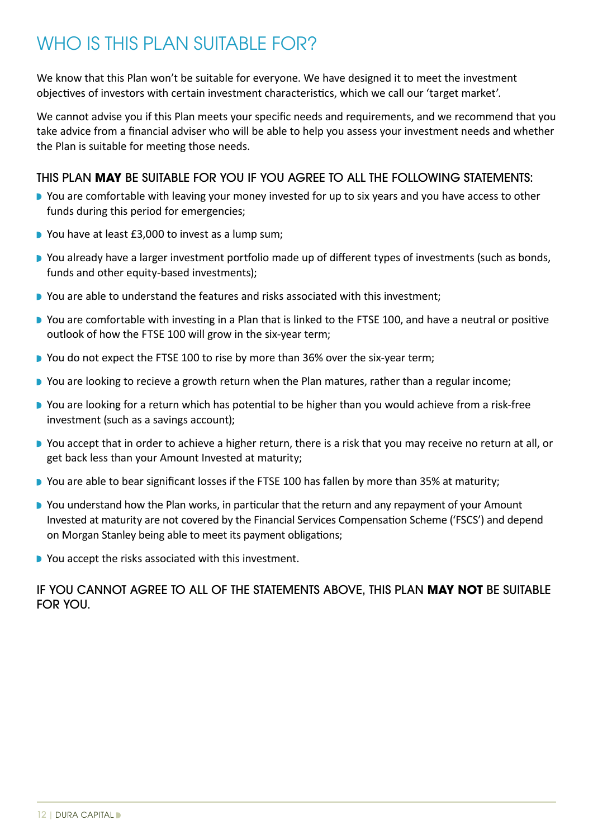# WHO IS THIS PLAN SUITABLE FOR?

We know that this Plan won't be suitable for everyone. We have designed it to meet the investment objectives of investors with certain investment characteristics, which we call our 'target market'.

We cannot advise you if this Plan meets your specific needs and requirements, and we recommend that you take advice from a financial adviser who will be able to help you assess your investment needs and whether the Plan is suitable for meeting those needs.

# THIS PLAN **MAY** BE SUITABLE FOR YOU IF YOU AGREE TO ALL THE FOLLOWING STATEMENTS:

- **D** You are comfortable with leaving your money invested for up to six years and you have access to other funds during this period for emergencies;
- You have at least £3,000 to invest as a lump sum;
- **D** You already have a larger investment portfolio made up of different types of investments (such as bonds, funds and other equity-based investments);
- **D** You are able to understand the features and risks associated with this investment;
- **D** You are comfortable with investing in a Plan that is linked to the FTSE 100, and have a neutral or positive outlook of how the FTSE 100 will grow in the six-year term;
- **D** You do not expect the FTSE 100 to rise by more than 36% over the six-year term:
- You are looking to recieve a growth return when the Plan matures, rather than a regular income;
- You are looking for a return which has potential to be higher than you would achieve from a risk-free investment (such as a savings account);
- You accept that in order to achieve a higher return, there is a risk that you may receive no return at all, or get back less than your Amount Invested at maturity;
- **D** You are able to bear significant losses if the FTSE 100 has fallen by more than 35% at maturity;
- **You understand how the Plan works, in particular that the return and any repayment of your Amount** Invested at maturity are not covered by the Financial Services Compensation Scheme ('FSCS') and depend on Morgan Stanley being able to meet its payment obligations;
- You accept the risks associated with this investment.

# IF YOU CANNOT AGREE TO ALL OF THE STATEMENTS ABOVE, THIS PLAN **MAY NOT** BE SUITABLE FOR YOU.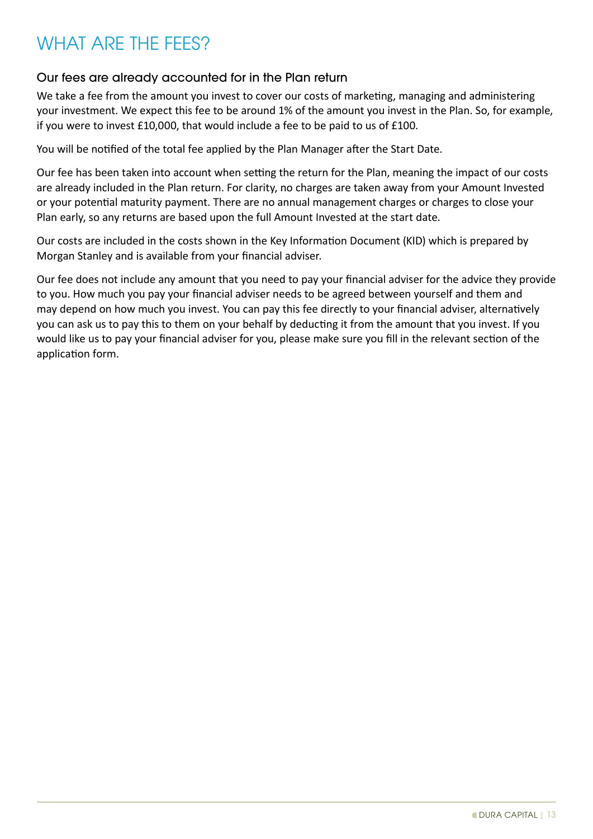# WHAT ARF THE FFFS?

# Our fees are already accounted for in the Plan return

We take a fee from the amount you invest to cover our costs of marketing, managing and administering your investment. We expect this fee to be around 1% of the amount you invest in the Plan. So, for example, if you were to invest £10,000, that would include a fee to be paid to us of £100.

You will be notified of the total fee applied by the Plan Manager after the Start Date.

Our fee has been taken into account when setting the return for the Plan, meaning the impact of our costs are already included in the Plan return. For clarity, no charges are taken away from your Amount Invested or your potential maturity payment. There are no annual management charges or charges to close your Plan early, so any returns are based upon the full Amount Invested at the start date.

Our costs are included in the costs shown in the Key Information Document (KID) which is prepared by Morgan Stanley and is available from your financial adviser.

Our fee does not include any amount that you need to pay your financial adviser for the advice they provide to you. How much you pay your financial adviser needs to be agreed between yourself and them and may depend on how much you invest. You can pay this fee directly to your financial adviser, alternatively you can ask us to pay this to them on your behalf by deducting it from the amount that you invest. If you would like us to pay your financial adviser for you, please make sure you fill in the relevant section of the application form.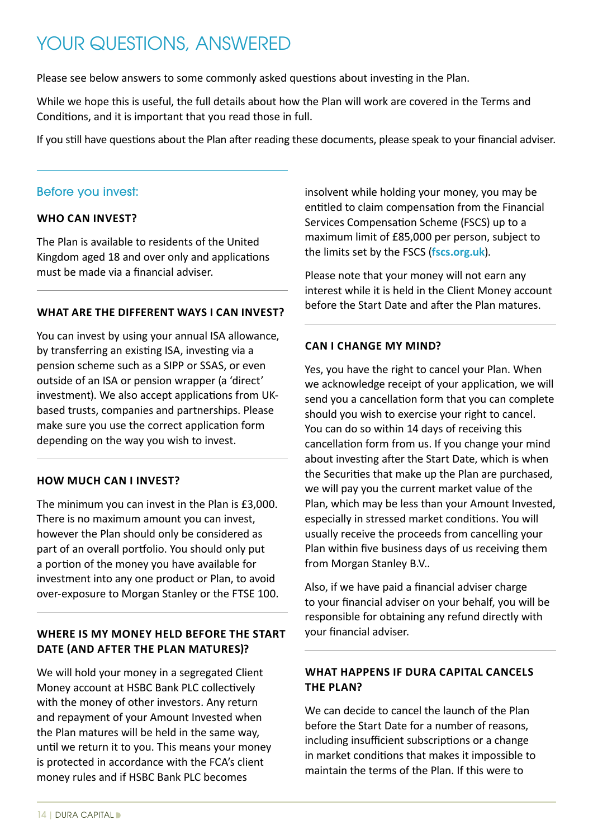# YOUR QUESTIONS, ANSWERED

Please see below answers to some commonly asked questions about investing in the Plan.

While we hope this is useful, the full details about how the Plan will work are covered in the Terms and Conditions, and it is important that you read those in full.

If you still have questions about the Plan after reading these documents, please speak to your financial adviser.

#### Before you invest:

#### **WHO CAN INVEST?**

The Plan is available to residents of the United Kingdom aged 18 and over only and applications must be made via a financial adviser.

#### **WHAT ARE THE DIFFERENT WAYS I CAN INVEST?**

You can invest by using your annual ISA allowance, by transferring an existing ISA, investing via a pension scheme such as a SIPP or SSAS, or even outside of an ISA or pension wrapper (a 'direct' investment). We also accept applications from UKbased trusts, companies and partnerships. Please make sure you use the correct application form depending on the way you wish to invest.

#### **HOW MUCH CAN I INVEST?**

The minimum you can invest in the Plan is £3,000. There is no maximum amount you can invest, however the Plan should only be considered as part of an overall portfolio. You should only put a portion of the money you have available for investment into any one product or Plan, to avoid over-exposure to Morgan Stanley or the FTSE 100.

# **WHERE IS MY MONEY HELD BEFORE THE START DATE (AND AFTER THE PLAN MATURES)?**

We will hold your money in a segregated Client Money account at HSBC Bank PLC collectively with the money of other investors. Any return and repayment of your Amount Invested when the Plan matures will be held in the same way, until we return it to you. This means your money is protected in accordance with the FCA's client money rules and if HSBC Bank PLC becomes

insolvent while holding your money, you may be entitled to claim compensation from the Financial Services Compensation Scheme (FSCS) up to a maximum limit of £85,000 per person, subject to the limits set by the FSCS (**[fscs.org.uk](http://www.fscs.org.uk)**).

Please note that your money will not earn any interest while it is held in the Client Money account before the Start Date and after the Plan matures.

#### **CAN I CHANGE MY MIND?**

Yes, you have the right to cancel your Plan. When we acknowledge receipt of your application, we will send you a cancellation form that you can complete should you wish to exercise your right to cancel. You can do so within 14 days of receiving this cancellation form from us. If you change your mind about investing after the Start Date, which is when the Securities that make up the Plan are purchased, we will pay you the current market value of the Plan, which may be less than your Amount Invested, especially in stressed market conditions. You will usually receive the proceeds from cancelling your Plan within five business days of us receiving them from Morgan Stanley B.V..

Also, if we have paid a financial adviser charge to your financial adviser on your behalf, you will be responsible for obtaining any refund directly with your financial adviser.

# **WHAT HAPPENS IF DURA CAPITAL CANCELS THE PLAN?**

We can decide to cancel the launch of the Plan before the Start Date for a number of reasons, including insufficient subscriptions or a change in market conditions that makes it impossible to maintain the terms of the Plan. If this were to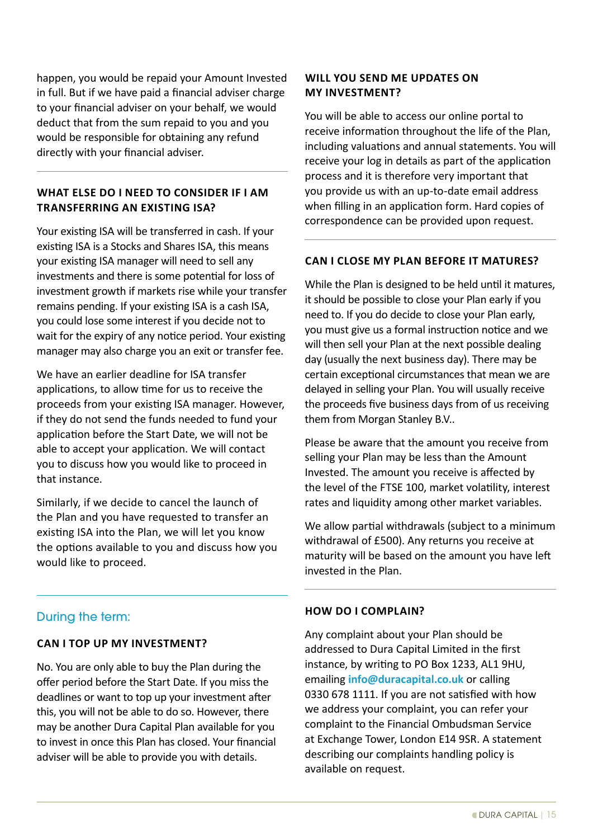happen, you would be repaid your Amount Invested in full. But if we have paid a financial adviser charge to your financial adviser on your behalf, we would deduct that from the sum repaid to you and you would be responsible for obtaining any refund directly with your financial adviser.

# **WHAT ELSE DO I NEED TO CONSIDER IF I AM TRANSFERRING AN EXISTING ISA?**

Your existing ISA will be transferred in cash. If your existing ISA is a Stocks and Shares ISA, this means your existing ISA manager will need to sell any investments and there is some potential for loss of investment growth if markets rise while your transfer remains pending. If your existing ISA is a cash ISA, you could lose some interest if you decide not to wait for the expiry of any notice period. Your existing manager may also charge you an exit or transfer fee.

We have an earlier deadline for ISA transfer applications, to allow time for us to receive the proceeds from your existing ISA manager. However, if they do not send the funds needed to fund your application before the Start Date, we will not be able to accept your application. We will contact you to discuss how you would like to proceed in that instance.

Similarly, if we decide to cancel the launch of the Plan and you have requested to transfer an existing ISA into the Plan, we will let you know the options available to you and discuss how you would like to proceed.

# During the term:

# **CAN I TOP UP MY INVESTMENT?**

No. You are only able to buy the Plan during the offer period before the Start Date. If you miss the deadlines or want to top up your investment after this, you will not be able to do so. However, there may be another Dura Capital Plan available for you to invest in once this Plan has closed. Your financial adviser will be able to provide you with details.

# **WILL YOU SEND ME UPDATES ON MY INVESTMENT?**

You will be able to access our online portal to receive information throughout the life of the Plan, including valuations and annual statements. You will receive your log in details as part of the application process and it is therefore very important that you provide us with an up-to-date email address when filling in an application form. Hard copies of correspondence can be provided upon request.

# **CAN I CLOSE MY PLAN BEFORE IT MATURES?**

While the Plan is designed to be held until it matures, it should be possible to close your Plan early if you need to. If you do decide to close your Plan early, you must give us a formal instruction notice and we will then sell your Plan at the next possible dealing day (usually the next business day). There may be certain exceptional circumstances that mean we are delayed in selling your Plan. You will usually receive the proceeds five business days from of us receiving them from Morgan Stanley B.V..

Please be aware that the amount you receive from selling your Plan may be less than the Amount Invested. The amount you receive is affected by the level of the FTSE 100, market volatility, interest rates and liquidity among other market variables.

We allow partial withdrawals (subject to a minimum withdrawal of £500). Any returns you receive at maturity will be based on the amount you have left invested in the Plan.

# **HOW DO I COMPLAIN?**

Any complaint about your Plan should be addressed to Dura Capital Limited in the first instance, by writing to PO Box 1233, AL1 9HU, emailing **[info@duracapital.co.uk](mailto:info%40duracapital.co.uk?subject=)** or calling 0330 678 1111. If you are not satisfied with how we address your complaint, you can refer your complaint to the Financial Ombudsman Service at Exchange Tower, London E14 9SR. A statement describing our complaints handling policy is available on request.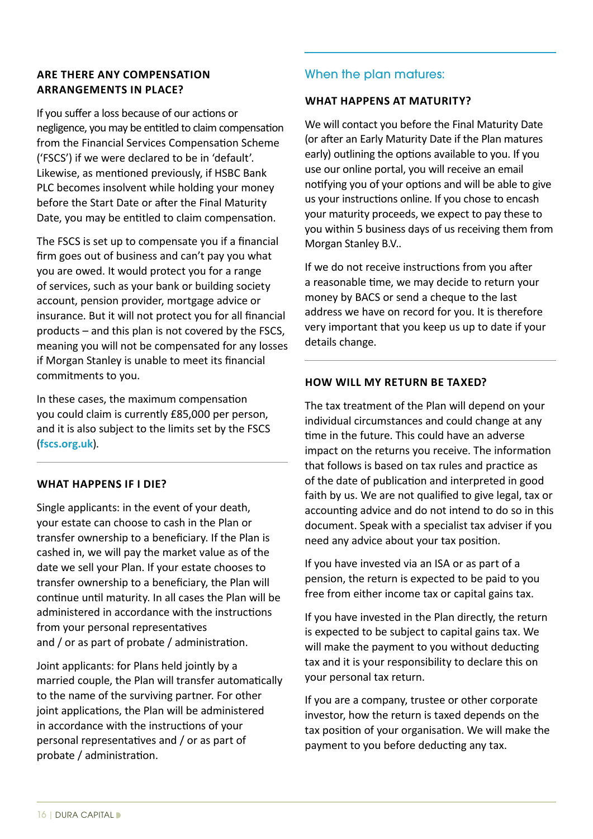# **ARE THERE ANY COMPENSATION ARRANGEMENTS IN PLACE?**

If you suffer a loss because of our actions or negligence, you may be entitled to claim compensation from the Financial Services Compensation Scheme ('FSCS') if we were declared to be in 'default'. Likewise, as mentioned previously, if HSBC Bank PLC becomes insolvent while holding your money before the Start Date or after the Final Maturity Date, you may be entitled to claim compensation.

The FSCS is set up to compensate you if a financial firm goes out of business and can't pay you what you are owed. It would protect you for a range of services, such as your bank or building society account, pension provider, mortgage advice or insurance. But it will not protect you for all financial products – and this plan is not covered by the FSCS, meaning you will not be compensated for any losses if Morgan Stanley is unable to meet its financial commitments to you.

In these cases, the maximum compensation you could claim is currently £85,000 per person, and it is also subject to the limits set by the FSCS (**[fscs.org.uk](http://www.fscs.org.uk)**).

# **WHAT HAPPENS IF I DIE?**

Single applicants: in the event of your death, your estate can choose to cash in the Plan or transfer ownership to a beneficiary. If the Plan is cashed in, we will pay the market value as of the date we sell your Plan. If your estate chooses to transfer ownership to a beneficiary, the Plan will continue until maturity. In all cases the Plan will be administered in accordance with the instructions from your personal representatives and / or as part of probate / administration.

Joint applicants: for Plans held jointly by a married couple, the Plan will transfer automatically to the name of the surviving partner. For other joint applications, the Plan will be administered in accordance with the instructions of your personal representatives and / or as part of probate / administration.

# When the plan matures:

#### **WHAT HAPPENS AT MATURITY?**

We will contact you before the Final Maturity Date (or after an Early Maturity Date if the Plan matures early) outlining the options available to you. If you use our online portal, you will receive an email notifying you of your options and will be able to give us your instructions online. If you chose to encash your maturity proceeds, we expect to pay these to you within 5 business days of us receiving them from Morgan Stanley B.V..

If we do not receive instructions from you after a reasonable time, we may decide to return your money by BACS or send a cheque to the last address we have on record for you. It is therefore very important that you keep us up to date if your details change.

#### **HOW WILL MY RETURN BE TAXED?**

The tax treatment of the Plan will depend on your individual circumstances and could change at any time in the future. This could have an adverse impact on the returns you receive. The information that follows is based on tax rules and practice as of the date of publication and interpreted in good faith by us. We are not qualified to give legal, tax or accounting advice and do not intend to do so in this document. Speak with a specialist tax adviser if you need any advice about your tax position.

If you have invested via an ISA or as part of a pension, the return is expected to be paid to you free from either income tax or capital gains tax.

If you have invested in the Plan directly, the return is expected to be subject to capital gains tax. We will make the payment to you without deducting tax and it is your responsibility to declare this on your personal tax return.

If you are a company, trustee or other corporate investor, how the return is taxed depends on the tax position of your organisation. We will make the payment to you before deducting any tax.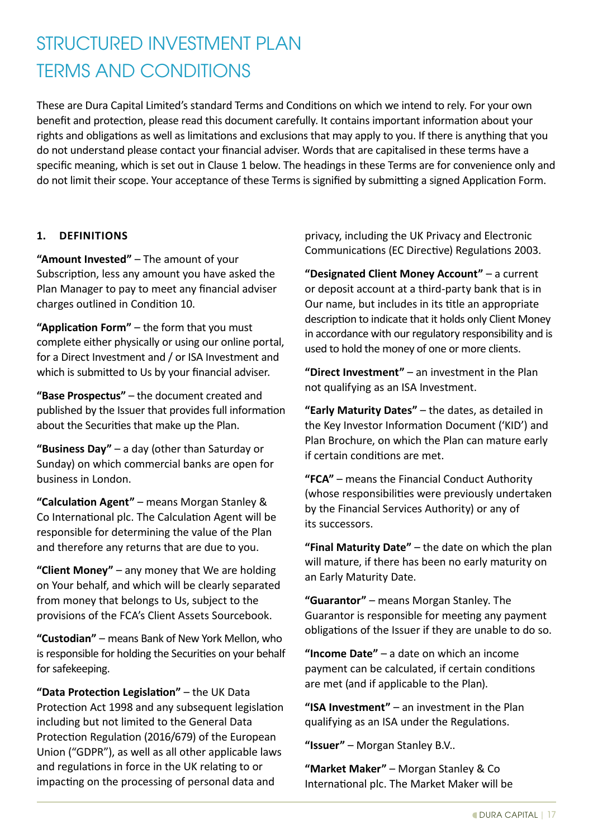# STRUCTURED INVESTMENT PLAN TERMS AND CONDITIONS

These are Dura Capital Limited's standard Terms and Conditions on which we intend to rely. For your own benefit and protection, please read this document carefully. It contains important information about your rights and obligations as well as limitations and exclusions that may apply to you. If there is anything that you do not understand please contact your financial adviser. Words that are capitalised in these terms have a specific meaning, which is set out in Clause 1 below. The headings in these Terms are for convenience only and do not limit their scope. Your acceptance of these Terms is signified by submitting a signed Application Form.

#### **1. DEFINITIONS**

**"Amount Invested"** – The amount of your Subscription, less any amount you have asked the Plan Manager to pay to meet any financial adviser charges outlined in Condition 10.

**"Application Form"** – the form that you must complete either physically or using our online portal, for a Direct Investment and / or ISA Investment and which is submitted to Us by your financial adviser.

**"Base Prospectus"** – the document created and published by the Issuer that provides full information about the Securities that make up the Plan.

**"Business Day"** – a day (other than Saturday or Sunday) on which commercial banks are open for business in London.

**"Calculation Agent"** – means Morgan Stanley & Co International plc. The Calculation Agent will be responsible for determining the value of the Plan and therefore any returns that are due to you.

**"Client Money"** – any money that We are holding on Your behalf, and which will be clearly separated from money that belongs to Us, subject to the provisions of the FCA's Client Assets Sourcebook.

**"Custodian"** – means Bank of New York Mellon, who is responsible for holding the Securities on your behalf for safekeeping.

**"Data Protection Legislation"** – the UK Data Protection Act 1998 and any subsequent legislation including but not limited to the General Data Protection Regulation (2016/679) of the European Union ("GDPR"), as well as all other applicable laws and regulations in force in the UK relating to or impacting on the processing of personal data and

privacy, including the UK Privacy and Electronic Communications (EC Directive) Regulations 2003.

**"Designated Client Money Account"** – a current or deposit account at a third-party bank that is in Our name, but includes in its title an appropriate description to indicate that it holds only Client Money in accordance with our regulatory responsibility and is used to hold the money of one or more clients.

**"Direct Investment"** – an investment in the Plan not qualifying as an ISA Investment.

**"Early Maturity Dates"** – the dates, as detailed in the Key Investor Information Document ('KID') and Plan Brochure, on which the Plan can mature early if certain conditions are met.

**"FCA"** – means the Financial Conduct Authority (whose responsibilities were previously undertaken by the Financial Services Authority) or any of its successors.

**"Final Maturity Date"** – the date on which the plan will mature, if there has been no early maturity on an Early Maturity Date.

**"Guarantor"** – means Morgan Stanley. The Guarantor is responsible for meeting any payment obligations of the Issuer if they are unable to do so.

**"Income Date"** – a date on which an income payment can be calculated, if certain conditions are met (and if applicable to the Plan).

**"ISA Investment"** – an investment in the Plan qualifying as an ISA under the Regulations.

**"Issuer"** – Morgan Stanley B.V..

**"Market Maker"** – Morgan Stanley & Co International plc. The Market Maker will be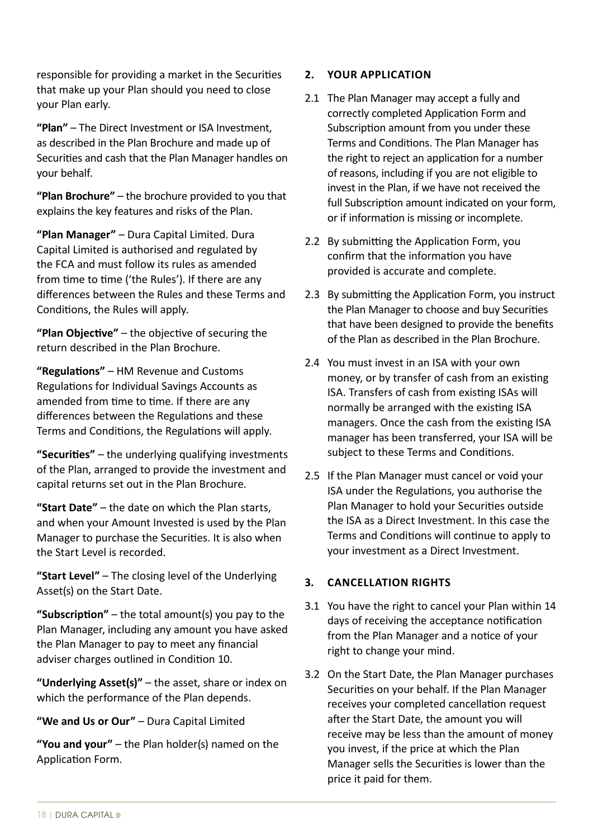responsible for providing a market in the Securities that make up your Plan should you need to close your Plan early.

**"Plan"** – The Direct Investment or ISA Investment, as described in the Plan Brochure and made up of Securities and cash that the Plan Manager handles on your behalf.

**"Plan Brochure"** – the brochure provided to you that explains the key features and risks of the Plan.

**"Plan Manager"** – Dura Capital Limited. Dura Capital Limited is authorised and regulated by the FCA and must follow its rules as amended from time to time ('the Rules'). If there are any differences between the Rules and these Terms and Conditions, the Rules will apply.

**"Plan Objective"** – the objective of securing the return described in the Plan Brochure.

**"Regulations"** – HM Revenue and Customs Regulations for Individual Savings Accounts as amended from time to time. If there are any differences between the Regulations and these Terms and Conditions, the Regulations will apply.

**"Securities"** – the underlying qualifying investments of the Plan, arranged to provide the investment and capital returns set out in the Plan Brochure.

**"Start Date"** – the date on which the Plan starts, and when your Amount Invested is used by the Plan Manager to purchase the Securities. It is also when the Start Level is recorded.

**"Start Level"** – The closing level of the Underlying Asset(s) on the Start Date.

**"Subscription"** – the total amount(s) you pay to the Plan Manager, including any amount you have asked the Plan Manager to pay to meet any financial adviser charges outlined in Condition 10.

**"Underlying Asset(s)"** – the asset, share or index on which the performance of the Plan depends.

**"We and Us or Our"** – Dura Capital Limited

**"You and your"** – the Plan holder(s) named on the Application Form.

# **2. YOUR APPLICATION**

- 2.1 The Plan Manager may accept a fully and correctly completed Application Form and Subscription amount from you under these Terms and Conditions. The Plan Manager has the right to reject an application for a number of reasons, including if you are not eligible to invest in the Plan, if we have not received the full Subscription amount indicated on your form, or if information is missing or incomplete.
- 2.2 By submitting the Application Form, you confirm that the information you have provided is accurate and complete.
- 2.3 By submitting the Application Form, you instruct the Plan Manager to choose and buy Securities that have been designed to provide the benefits of the Plan as described in the Plan Brochure.
- 2.4 You must invest in an ISA with your own money, or by transfer of cash from an existing ISA. Transfers of cash from existing ISAs will normally be arranged with the existing ISA managers. Once the cash from the existing ISA manager has been transferred, your ISA will be subject to these Terms and Conditions.
- 2.5 If the Plan Manager must cancel or void your ISA under the Regulations, you authorise the Plan Manager to hold your Securities outside the ISA as a Direct Investment. In this case the Terms and Conditions will continue to apply to your investment as a Direct Investment.

# **3. CANCELLATION RIGHTS**

- 3.1 You have the right to cancel your Plan within 14 days of receiving the acceptance notification from the Plan Manager and a notice of your right to change your mind.
- 3.2 On the Start Date, the Plan Manager purchases Securities on your behalf. If the Plan Manager receives your completed cancellation request after the Start Date, the amount you will receive may be less than the amount of money you invest, if the price at which the Plan Manager sells the Securities is lower than the price it paid for them.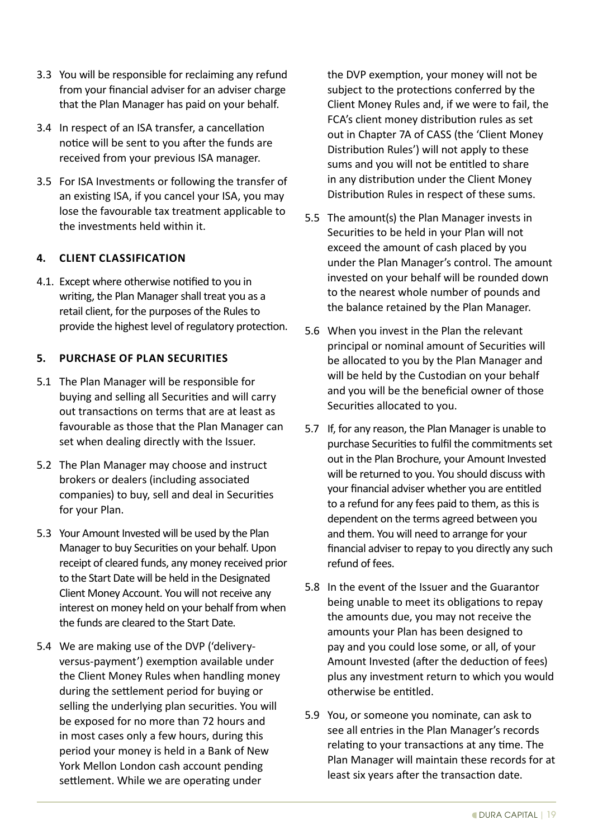- 3.3 You will be responsible for reclaiming any refund from your financial adviser for an adviser charge that the Plan Manager has paid on your behalf.
- 3.4 In respect of an ISA transfer, a cancellation notice will be sent to you after the funds are received from your previous ISA manager.
- 3.5 For ISA Investments or following the transfer of an existing ISA, if you cancel your ISA, you may lose the favourable tax treatment applicable to the investments held within it.

# **4. CLIENT CLASSIFICATION**

4.1. Except where otherwise notified to you in writing, the Plan Manager shall treat you as a retail client, for the purposes of the Rules to provide the highest level of regulatory protection.

# **5. PURCHASE OF PLAN SECURITIES**

- 5.1 The Plan Manager will be responsible for buying and selling all Securities and will carry out transactions on terms that are at least as favourable as those that the Plan Manager can set when dealing directly with the Issuer.
- 5.2 The Plan Manager may choose and instruct brokers or dealers (including associated companies) to buy, sell and deal in Securities for your Plan.
- 5.3 Your Amount Invested will be used by the Plan Manager to buy Securities on your behalf. Upon receipt of cleared funds, any money received prior to the Start Date will be held in the Designated Client Money Account. You will not receive any interest on money held on your behalf from when the funds are cleared to the Start Date.
- 5.4 We are making use of the DVP ('deliveryversus-payment') exemption available under the Client Money Rules when handling money during the settlement period for buying or selling the underlying plan securities. You will be exposed for no more than 72 hours and in most cases only a few hours, during this period your money is held in a Bank of New York Mellon London cash account pending settlement. While we are operating under

the DVP exemption, your money will not be subject to the protections conferred by the Client Money Rules and, if we were to fail, the FCA's client money distribution rules as set out in Chapter 7A of CASS (the 'Client Money Distribution Rules') will not apply to these sums and you will not be entitled to share in any distribution under the Client Money Distribution Rules in respect of these sums.

- 5.5 The amount(s) the Plan Manager invests in Securities to be held in your Plan will not exceed the amount of cash placed by you under the Plan Manager's control. The amount invested on your behalf will be rounded down to the nearest whole number of pounds and the balance retained by the Plan Manager.
- 5.6 When you invest in the Plan the relevant principal or nominal amount of Securities will be allocated to you by the Plan Manager and will be held by the Custodian on your behalf and you will be the beneficial owner of those Securities allocated to you.
- 5.7 If, for any reason, the Plan Manager is unable to purchase Securities to fulfil the commitments set out in the Plan Brochure, your Amount Invested will be returned to you. You should discuss with your financial adviser whether you are entitled to a refund for any fees paid to them, as this is dependent on the terms agreed between you and them. You will need to arrange for your financial adviser to repay to you directly any such refund of fees.
- 5.8 In the event of the Issuer and the Guarantor being unable to meet its obligations to repay the amounts due, you may not receive the amounts your Plan has been designed to pay and you could lose some, or all, of your Amount Invested (after the deduction of fees) plus any investment return to which you would otherwise be entitled.
- 5.9 You, or someone you nominate, can ask to see all entries in the Plan Manager's records relating to your transactions at any time. The Plan Manager will maintain these records for at least six years after the transaction date.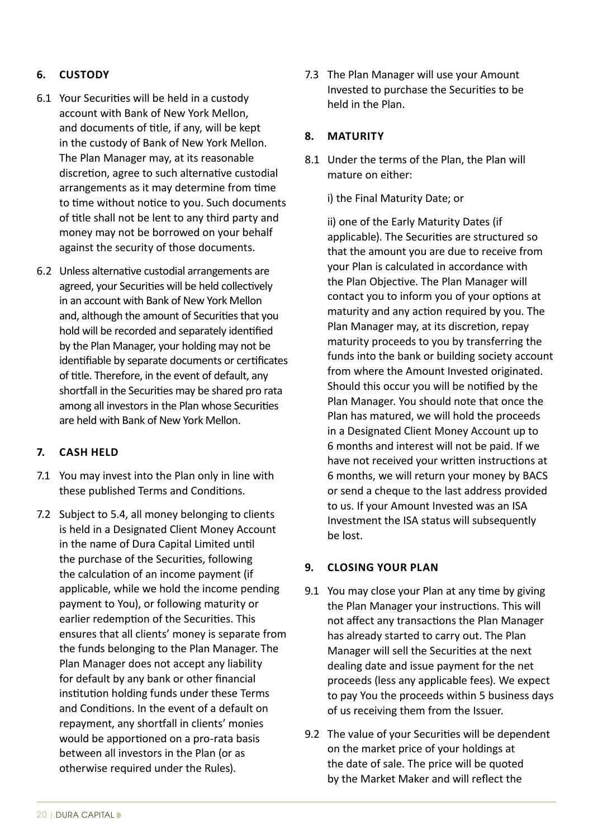# **6. CUSTODY**

- 6.1 Your Securities will be held in a custody account with Bank of New York Mellon, and documents of title, if any, will be kept in the custody of Bank of New York Mellon. The Plan Manager may, at its reasonable discretion, agree to such alternative custodial arrangements as it may determine from time to time without notice to you. Such documents of title shall not be lent to any third party and money may not be borrowed on your behalf against the security of those documents.
- 6.2 Unless alternative custodial arrangements are agreed, your Securities will be held collectively in an account with Bank of New York Mellon and, although the amount of Securities that you hold will be recorded and separately identified by the Plan Manager, your holding may not be identifiable by separate documents or certificates of title. Therefore, in the event of default, any shortfall in the Securities may be shared pro rata among all investors in the Plan whose Securities are held with Bank of New York Mellon.

# **7. CASH HELD**

- 7.1 You may invest into the Plan only in line with these published Terms and Conditions.
- 7.2 Subject to 5.4, all money belonging to clients is held in a Designated Client Money Account in the name of Dura Capital Limited until the purchase of the Securities, following the calculation of an income payment (if applicable, while we hold the income pending payment to You), or following maturity or earlier redemption of the Securities. This ensures that all clients' money is separate from the funds belonging to the Plan Manager. The Plan Manager does not accept any liability for default by any bank or other financial institution holding funds under these Terms and Conditions. In the event of a default on repayment, any shortfall in clients' monies would be apportioned on a pro-rata basis between all investors in the Plan (or as otherwise required under the Rules).

7.3 The Plan Manager will use your Amount Invested to purchase the Securities to be held in the Plan.

#### **8. MATURITY**

8.1 Under the terms of the Plan, the Plan will mature on either:

i) the Final Maturity Date; or

ii) one of the Early Maturity Dates (if applicable). The Securities are structured so that the amount you are due to receive from your Plan is calculated in accordance with the Plan Objective. The Plan Manager will contact you to inform you of your options at maturity and any action required by you. The Plan Manager may, at its discretion, repay maturity proceeds to you by transferring the funds into the bank or building society account from where the Amount Invested originated. Should this occur you will be notified by the Plan Manager. You should note that once the Plan has matured, we will hold the proceeds in a Designated Client Money Account up to 6 months and interest will not be paid. If we have not received your written instructions at 6 months, we will return your money by BACS or send a cheque to the last address provided to us. If your Amount Invested was an ISA Investment the ISA status will subsequently be lost.

#### **9. CLOSING YOUR PLAN**

- 9.1 You may close your Plan at any time by giving the Plan Manager your instructions. This will not affect any transactions the Plan Manager has already started to carry out. The Plan Manager will sell the Securities at the next dealing date and issue payment for the net proceeds (less any applicable fees). We expect to pay You the proceeds within 5 business days of us receiving them from the Issuer.
- 9.2 The value of your Securities will be dependent on the market price of your holdings at the date of sale. The price will be quoted by the Market Maker and will reflect the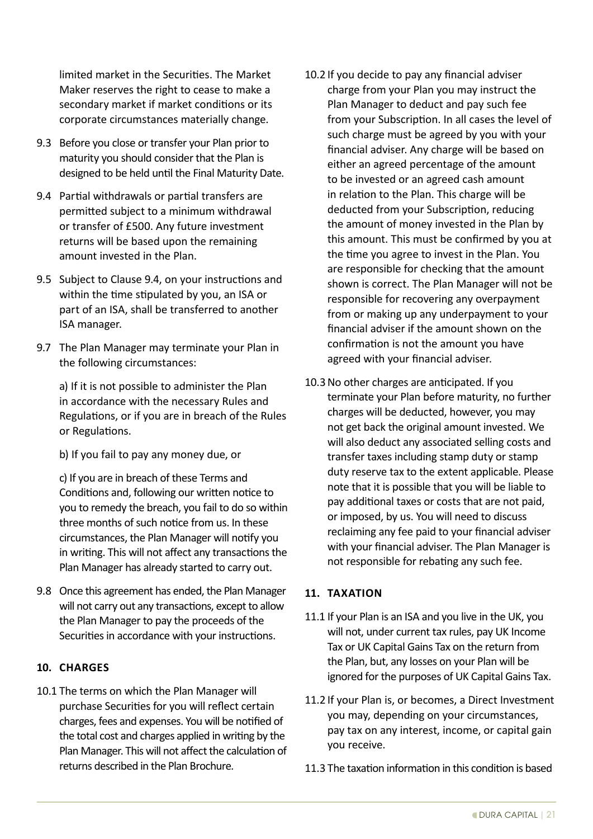limited market in the Securities. The Market Maker reserves the right to cease to make a secondary market if market conditions or its corporate circumstances materially change.

- 9.3 Before you close or transfer your Plan prior to maturity you should consider that the Plan is designed to be held until the Final Maturity Date.
- 9.4 Partial withdrawals or partial transfers are permitted subject to a minimum withdrawal or transfer of £500. Any future investment returns will be based upon the remaining amount invested in the Plan.
- 9.5 Subject to Clause 9.4, on your instructions and within the time stipulated by you, an ISA or part of an ISA, shall be transferred to another ISA manager.
- 9.7 The Plan Manager may terminate your Plan in the following circumstances:

 a) If it is not possible to administer the Plan in accordance with the necessary Rules and Regulations, or if you are in breach of the Rules or Regulations.

b) If you fail to pay any money due, or

 c) If you are in breach of these Terms and Conditions and, following our written notice to you to remedy the breach, you fail to do so within three months of such notice from us. In these circumstances, the Plan Manager will notify you in writing. This will not affect any transactions the Plan Manager has already started to carry out.

9.8 Once this agreement has ended, the Plan Manager will not carry out any transactions, except to allow the Plan Manager to pay the proceeds of the Securities in accordance with your instructions.

# **10. CHARGES**

10.1 The terms on which the Plan Manager will purchase Securities for you will reflect certain charges, fees and expenses. You will be notified of the total cost and charges applied in writing by the Plan Manager. This will not affect the calculation of returns described in the Plan Brochure.

- 10.2 If you decide to pay any financial adviser charge from your Plan you may instruct the Plan Manager to deduct and pay such fee from your Subscription. In all cases the level of such charge must be agreed by you with your financial adviser. Any charge will be based on either an agreed percentage of the amount to be invested or an agreed cash amount in relation to the Plan. This charge will be deducted from your Subscription, reducing the amount of money invested in the Plan by this amount. This must be confirmed by you at the time you agree to invest in the Plan. You are responsible for checking that the amount shown is correct. The Plan Manager will not be responsible for recovering any overpayment from or making up any underpayment to your financial adviser if the amount shown on the confirmation is not the amount you have agreed with your financial adviser.
- 10.3No other charges are anticipated. If you terminate your Plan before maturity, no further charges will be deducted, however, you may not get back the original amount invested. We will also deduct any associated selling costs and transfer taxes including stamp duty or stamp duty reserve tax to the extent applicable. Please note that it is possible that you will be liable to pay additional taxes or costs that are not paid, or imposed, by us. You will need to discuss reclaiming any fee paid to your financial adviser with your financial adviser. The Plan Manager is not responsible for rebating any such fee.

# **11. TAXATION**

- 11.1 If your Plan is an ISA and you live in the UK, you will not, under current tax rules, pay UK Income Tax or UK Capital Gains Tax on the return from the Plan, but, any losses on your Plan will be ignored for the purposes of UK Capital Gains Tax.
- 11.2 If your Plan is, or becomes, a Direct Investment you may, depending on your circumstances, pay tax on any interest, income, or capital gain you receive.
- 11.3 The taxation information in this condition is based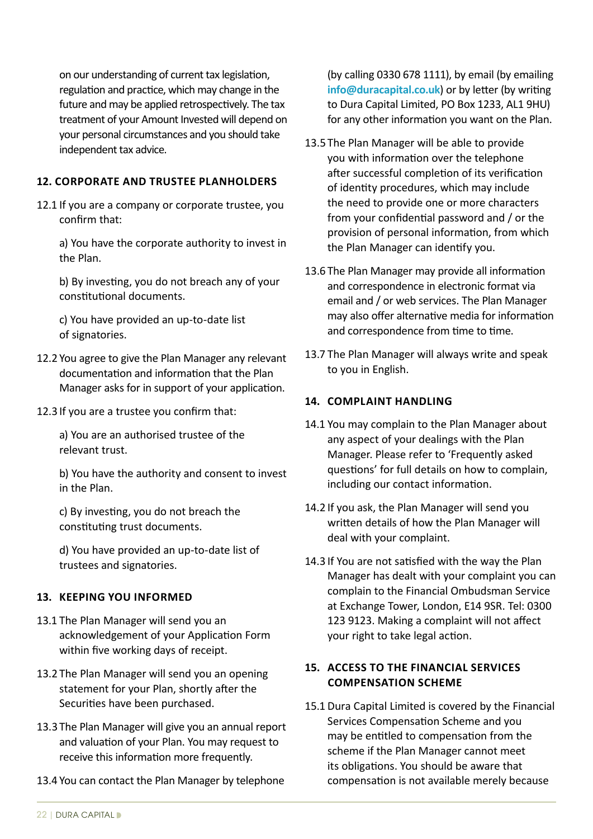on our understanding of current tax legislation, regulation and practice, which may change in the future and may be applied retrospectively. The tax treatment of your Amount Invested will depend on your personal circumstances and you should take independent tax advice.

#### **12. CORPORATE AND TRUSTEE PLANHOLDERS**

12.1 If you are a company or corporate trustee, you confirm that:

 a) You have the corporate authority to invest in the Plan.

b) By investing, you do not breach any of your constitutional documents.

 c) You have provided an up-to-date list of signatories.

- 12.2 You agree to give the Plan Manager any relevant documentation and information that the Plan Manager asks for in support of your application.
- 12.3 If you are a trustee you confirm that:

 a) You are an authorised trustee of the relevant trust.

 b) You have the authority and consent to invest in the Plan.

c) By investing, you do not breach the constituting trust documents.

 d) You have provided an up-to-date list of trustees and signatories.

# **13. KEEPING YOU INFORMED**

- 13.1 The Plan Manager will send you an acknowledgement of your Application Form within five working days of receipt.
- 13.2 The Plan Manager will send you an opening statement for your Plan, shortly after the Securities have been purchased.
- 13.3 The Plan Manager will give you an annual report and valuation of your Plan. You may request to receive this information more frequently.
- 13.4 You can contact the Plan Manager by telephone

(by calling 0330 678 1111), by email (by emailing **[info@duracapital.co.uk](mailto:info%40duracapital.co.uk?subject=)**) or by letter (by writing to Dura Capital Limited, PO Box 1233, AL1 9HU) for any other information you want on the Plan.

- 13.5 The Plan Manager will be able to provide you with information over the telephone after successful completion of its verification of identity procedures, which may include the need to provide one or more characters from your confidential password and / or the provision of personal information, from which the Plan Manager can identify you.
- 13.6 The Plan Manager may provide all information and correspondence in electronic format via email and / or web services. The Plan Manager may also offer alternative media for information and correspondence from time to time.
- 13.7 The Plan Manager will always write and speak to you in English.

# **14. COMPLAINT HANDLING**

- 14.1 You may complain to the Plan Manager about any aspect of your dealings with the Plan Manager. Please refer to 'Frequently asked questions' for full details on how to complain, including our contact information.
- 14.2 If you ask, the Plan Manager will send you written details of how the Plan Manager will deal with your complaint.
- 14.3 If You are not satisfied with the way the Plan Manager has dealt with your complaint you can complain to the Financial Ombudsman Service at Exchange Tower, London, E14 9SR. Tel: 0300 123 9123. Making a complaint will not affect your right to take legal action.

# **15. ACCESS TO THE FINANCIAL SERVICES COMPENSATION SCHEME**

15.1 Dura Capital Limited is covered by the Financial Services Compensation Scheme and you may be entitled to compensation from the scheme if the Plan Manager cannot meet its obligations. You should be aware that compensation is not available merely because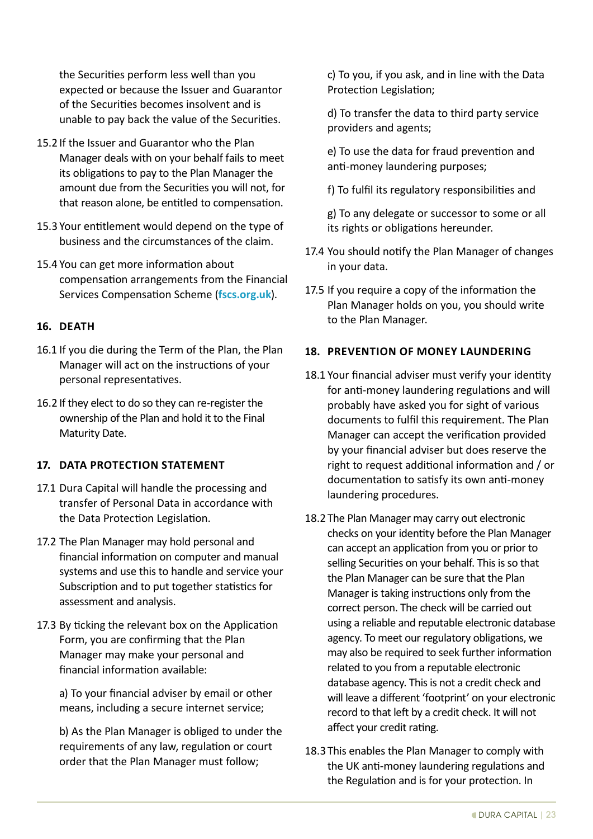the Securities perform less well than you expected or because the Issuer and Guarantor of the Securities becomes insolvent and is unable to pay back the value of the Securities.

- 15.2 If the Issuer and Guarantor who the Plan Manager deals with on your behalf fails to meet its obligations to pay to the Plan Manager the amount due from the Securities you will not, for that reason alone, be entitled to compensation.
- 15.3 Your entitlement would depend on the type of business and the circumstances of the claim.
- 15.4 You can get more information about compensation arrangements from the Financial Services Compensation Scheme (**[fscs.org.uk](http://fscs.org.uk)**).

# **16. DEATH**

- 16.1 If you die during the Term of the Plan, the Plan Manager will act on the instructions of your personal representatives.
- 16.2 If they elect to do so they can re-register the ownership of the Plan and hold it to the Final Maturity Date.

#### **17. DATA PROTECTION STATEMENT**

- 17.1 Dura Capital will handle the processing and transfer of Personal Data in accordance with the Data Protection Legislation.
- 17.2 The Plan Manager may hold personal and financial information on computer and manual systems and use this to handle and service your Subscription and to put together statistics for assessment and analysis.
- 17.3 By ticking the relevant box on the Application Form, you are confirming that the Plan Manager may make your personal and financial information available:

a) To your financial adviser by email or other means, including a secure internet service;

 b) As the Plan Manager is obliged to under the requirements of any law, regulation or court order that the Plan Manager must follow;

c) To you, if you ask, and in line with the Data Protection Legislation;

 d) To transfer the data to third party service providers and agents;

e) To use the data for fraud prevention and anti-money laundering purposes;

f) To fulfil its regulatory responsibilities and

 g) To any delegate or successor to some or all its rights or obligations hereunder.

- 17.4 You should notify the Plan Manager of changes in your data.
- 17.5 If you require a copy of the information the Plan Manager holds on you, you should write to the Plan Manager.

#### **18. PREVENTION OF MONEY LAUNDERING**

- 18.1 Your financial adviser must verify your identity for anti-money laundering regulations and will probably have asked you for sight of various documents to fulfil this requirement. The Plan Manager can accept the verification provided by your financial adviser but does reserve the right to request additional information and / or documentation to satisfy its own anti-money laundering procedures.
- 18.2 The Plan Manager may carry out electronic checks on your identity before the Plan Manager can accept an application from you or prior to selling Securities on your behalf. This is so that the Plan Manager can be sure that the Plan Manager is taking instructions only from the correct person. The check will be carried out using a reliable and reputable electronic database agency. To meet our regulatory obligations, we may also be required to seek further information related to you from a reputable electronic database agency. This is not a credit check and will leave a different 'footprint' on your electronic record to that left by a credit check. It will not affect your credit rating.
- 18.3 This enables the Plan Manager to comply with the UK anti-money laundering regulations and the Regulation and is for your protection. In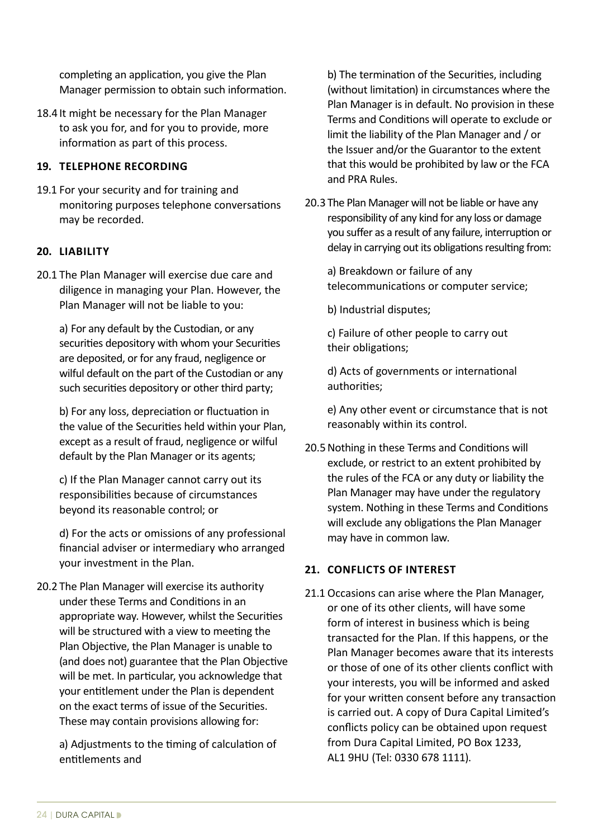completing an application, you give the Plan Manager permission to obtain such information.

18.4 It might be necessary for the Plan Manager to ask you for, and for you to provide, more information as part of this process.

# **19. TELEPHONE RECORDING**

19.1 For your security and for training and monitoring purposes telephone conversations may be recorded.

# **20. LIABILITY**

20.1 The Plan Manager will exercise due care and diligence in managing your Plan. However, the Plan Manager will not be liable to you:

a) For any default by the Custodian, or any securities depository with whom your Securities are deposited, or for any fraud, negligence or wilful default on the part of the Custodian or any such securities depository or other third party;

b) For any loss, depreciation or fluctuation in the value of the Securities held within your Plan, except as a result of fraud, negligence or wilful default by the Plan Manager or its agents;

 c) If the Plan Manager cannot carry out its responsibilities because of circumstances beyond its reasonable control; or

d) For the acts or omissions of any professional financial adviser or intermediary who arranged your investment in the Plan.

20.2 The Plan Manager will exercise its authority under these Terms and Conditions in an appropriate way. However, whilst the Securities will be structured with a view to meeting the Plan Objective, the Plan Manager is unable to (and does not) guarantee that the Plan Objective will be met. In particular, you acknowledge that your entitlement under the Plan is dependent on the exact terms of issue of the Securities. These may contain provisions allowing for:

a) Adjustments to the timing of calculation of entitlements and

b) The termination of the Securities, including (without limitation) in circumstances where the Plan Manager is in default. No provision in these Terms and Conditions will operate to exclude or limit the liability of the Plan Manager and / or the Issuer and/or the Guarantor to the extent that this would be prohibited by law or the FCA and PRA Rules.

20.3 The Plan Manager will not be liable or have any responsibility of any kind for any loss or damage you suffer as a result of any failure, interruption or delay in carrying out its obligations resulting from:

 a) Breakdown or failure of any telecommunications or computer service;

b) Industrial disputes;

c) Failure of other people to carry out their obligations;

d) Acts of governments or international authorities;

 e) Any other event or circumstance that is not reasonably within its control.

20.5 Nothing in these Terms and Conditions will exclude, or restrict to an extent prohibited by the rules of the FCA or any duty or liability the Plan Manager may have under the regulatory system. Nothing in these Terms and Conditions will exclude any obligations the Plan Manager may have in common law.

# **21. CONFLICTS OF INTEREST**

21.1 Occasions can arise where the Plan Manager, or one of its other clients, will have some form of interest in business which is being transacted for the Plan. If this happens, or the Plan Manager becomes aware that its interests or those of one of its other clients conflict with your interests, you will be informed and asked for your written consent before any transaction is carried out. A copy of Dura Capital Limited's conflicts policy can be obtained upon request from Dura Capital Limited, PO Box 1233, AL1 9HU (Tel: 0330 678 1111).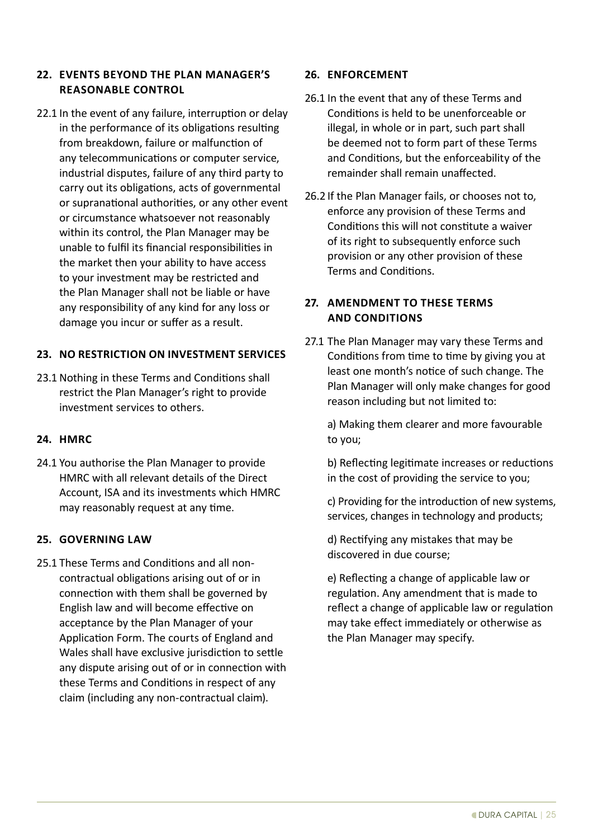# **22. EVENTS BEYOND THE PLAN MANAGER'S REASONABLE CONTROL**

22.1 In the event of any failure, interruption or delay in the performance of its obligations resulting from breakdown, failure or malfunction of any telecommunications or computer service, industrial disputes, failure of any third party to carry out its obligations, acts of governmental or supranational authorities, or any other event or circumstance whatsoever not reasonably within its control, the Plan Manager may be unable to fulfil its financial responsibilities in the market then your ability to have access to your investment may be restricted and the Plan Manager shall not be liable or have any responsibility of any kind for any loss or damage you incur or suffer as a result.

# **23. NO RESTRICTION ON INVESTMENT SERVICES**

23.1 Nothing in these Terms and Conditions shall restrict the Plan Manager's right to provide investment services to others.

# **24. HMRC**

24.1 You authorise the Plan Manager to provide HMRC with all relevant details of the Direct Account, ISA and its investments which HMRC may reasonably request at any time.

# **25. GOVERNING LAW**

25.1 These Terms and Conditions and all noncontractual obligations arising out of or in connection with them shall be governed by English law and will become effective on acceptance by the Plan Manager of your Application Form. The courts of England and Wales shall have exclusive jurisdiction to settle any dispute arising out of or in connection with these Terms and Conditions in respect of any claim (including any non-contractual claim).

# **26. ENFORCEMENT**

- 26.1 In the event that any of these Terms and Conditions is held to be unenforceable or illegal, in whole or in part, such part shall be deemed not to form part of these Terms and Conditions, but the enforceability of the remainder shall remain unaffected.
- 26.2 If the Plan Manager fails, or chooses not to, enforce any provision of these Terms and Conditions this will not constitute a waiver of its right to subsequently enforce such provision or any other provision of these Terms and Conditions.

# **27. AMENDMENT TO THESE TERMS AND CONDITIONS**

27.1 The Plan Manager may vary these Terms and Conditions from time to time by giving you at least one month's notice of such change. The Plan Manager will only make changes for good reason including but not limited to:

 a) Making them clearer and more favourable to you;

b) Reflecting legitimate increases or reductions in the cost of providing the service to you;

c) Providing for the introduction of new systems, services, changes in technology and products;

d) Rectifying any mistakes that may be discovered in due course;

e) Reflecting a change of applicable law or regulation. Any amendment that is made to reflect a change of applicable law or regulation may take effect immediately or otherwise as the Plan Manager may specify.